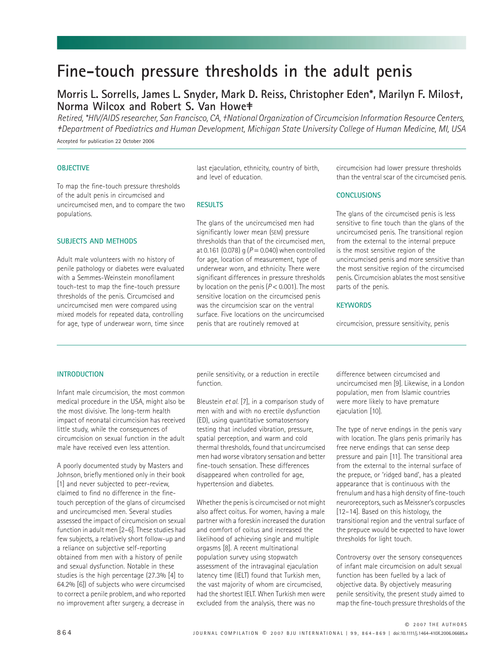# Fine-touch pressure thresholds in the adult penis

# **Morris L. Sorrells, James L. Snyder, Mark D. Reiss, Christopher Eden\*, Marilyn F. Milos†, Norma Wilcox and Robert S. Van Howe‡**

*Retired, \*HIV/AIDS researcher, San Francisco, CA, †National Organization of Circumcision Information Resource Centers, ‡Department of Paediatrics and Human Development, Michigan State University College of Human Medicine, MI, USA*

Accepted for publication 22 October 2006

# **OBJECTIVE**

To map the fine-touch pressure thresholds of the adult penis in circumcised and uncircumcised men, and to compare the two populations.

**SUBJECTS AND METHODS**

Adult male volunteers with no history of penile pathology or diabetes were evaluated with a Semmes-Weinstein monofilament touch-test to map the fine-touch pressure thresholds of the penis. Circumcised and uncircumcised men were compared using mixed models for repeated data, controlling for age, type of underwear worn, time since last ejaculation, ethnicity, country of birth, and level of education.

#### **RESULTS**

The glans of the uncircumcised men had significantly lower mean (SEM) pressure thresholds than that of the circumcised men, at 0.161 (0.078) g (*P* = 0.040) when controlled for age, location of measurement, type of underwear worn, and ethnicity. There were significant differences in pressure thresholds by location on the penis (*P* < 0.001). The most sensitive location on the circumcised penis was the circumcision scar on the ventral surface. Five locations on the uncircumcised penis that are routinely removed at

circumcision had lower pressure thresholds than the ventral scar of the circumcised penis.

# **CONCLUSIONS**

The glans of the circumcised penis is less sensitive to fine touch than the glans of the uncircumcised penis. The transitional region from the external to the internal prepuce is the most sensitive region of the uncircumcised penis and more sensitive than the most sensitive region of the circumcised penis. Circumcision ablates the most sensitive parts of the penis.

# **KEYWORDS**

circumcision, pressure sensitivity, penis

#### **INTRODUCTION**

Infant male circumcision, the most common medical procedure in the USA, might also be the most divisive. The long-term health impact of neonatal circumcision has received little study, while the consequences of circumcision on sexual function in the adult male have received even less attention.

A poorly documented study by Masters and Johnson, briefly mentioned only in their book [1] and never subjected to peer-review, claimed to find no difference in the finetouch perception of the glans of circumcised and uncircumcised men. Several studies assessed the impact of circumcision on sexual function in adult men [2–6]. These studies had few subjects, a relatively short follow-up and a reliance on subjective self-reporting obtained from men with a history of penile and sexual dysfunction. Notable in these studies is the high percentage (27.3% [4] to 64.2% [6]) of subjects who were circumcised to correct a penile problem, and who reported no improvement after surgery, a decrease in

penile sensitivity, or a reduction in erectile function.

Bleustein *et al.* [7], in a comparison study of men with and with no erectile dysfunction (ED), using quantitative somatosensory testing that included vibration, pressure, spatial perception, and warm and cold thermal thresholds, found that uncircumcised men had worse vibratory sensation and better fine-touch sensation. These differences disappeared when controlled for age, hypertension and diabetes.

Whether the penis is circumcised or not might also affect coitus. For women, having a male partner with a foreskin increased the duration and comfort of coitus and increased the likelihood of achieving single and multiple orgasms [8]. A recent multinational population survey using stopwatch assessment of the intravaginal ejaculation latency time (IELT) found that Turkish men, the vast majority of whom are circumcised, had the shortest IELT. When Turkish men were excluded from the analysis, there was no

difference between circumcised and uncircumcised men [9]. Likewise, in a London population, men from Islamic countries were more likely to have premature ejaculation [10].

The type of nerve endings in the penis vary with location. The glans penis primarily has free nerve endings that can sense deep pressure and pain [11]. The transitional area from the external to the internal surface of the prepuce, or 'ridged band', has a pleated appearance that is continuous with the frenulum and has a high density of fine-touch neuroreceptors, such as Meissner's corpuscles [12–14]. Based on this histology, the transitional region and the ventral surface of the prepuce would be expected to have lower thresholds for light touch.

Controversy over the sensory consequences of infant male circumcision on adult sexual function has been fuelled by a lack of objective data. By objectively measuring penile sensitivity, the present study aimed to map the fine-touch pressure thresholds of the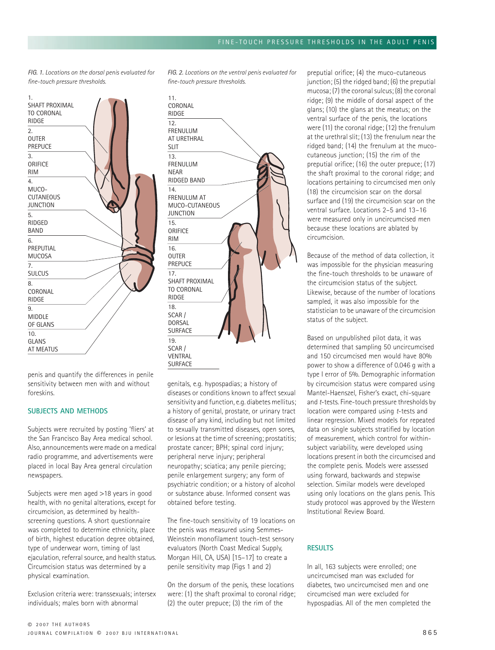*FIG. 1. Locations on the dorsal penis evaluated for fine-touch pressure thresholds.*



penis and quantify the differences in penile sensitivity between men with and without foreskins.

# **SUBJECTS AND METHODS**

Subjects were recruited by posting 'fliers' at the San Francisco Bay Area medical school. Also, announcements were made on a medical radio programme, and advertisements were placed in local Bay Area general circulation newspapers.

Subjects were men aged >18 years in good health, with no genital alterations, except for circumcision, as determined by healthscreening questions. A short questionnaire was completed to determine ethnicity, place of birth, highest education degree obtained, type of underwear worn, timing of last ejaculation, referral source, and health status. Circumcision status was determined by a physical examination.

Exclusion criteria were: transsexuals; intersex individuals; males born with abnormal

*FIG. 2. Locations on the ventral penis evaluated for fine-touch pressure thresholds.*

| 11.<br>CORONAL<br><b>RIDGE</b>                                    |  |
|-------------------------------------------------------------------|--|
| 12.<br><b>FRENULUM</b><br>AT URETHRAL<br><b>SLIT</b>              |  |
| 13.<br><b>FRENULUM</b><br><b>NEAR</b><br>RIDGED BAND              |  |
| 14<br><b>FRENULUM AT</b><br>MUCO-CUTANEOUS<br><b>JUNCTION</b>     |  |
| 15.<br>ORIFICE<br><b>RIM</b>                                      |  |
| 16.<br><b>OUTER</b><br><b>PREPUCE</b>                             |  |
| 17.<br><b>SHAFT PROXIMAL</b><br><b>TO CORONAL</b><br><b>RIDGE</b> |  |
| 18.<br>SCAR /<br><b>DORSAL</b><br><b>SURFACE</b>                  |  |
| 19.<br>SCAR /<br><b>VENTRAL</b><br><b>SURFACE</b>                 |  |

genitals, e.g. hypospadias; a history of diseases or conditions known to affect sexual sensitivity and function, e.g. diabetes mellitus; a history of genital, prostate, or urinary tract disease of any kind, including but not limited to sexually transmitted diseases, open sores, or lesions at the time of screening; prostatitis; prostate cancer; BPH; spinal cord injury; peripheral nerve injury; peripheral neuropathy; sciatica; any penile piercing; penile enlargement surgery; any form of psychiatric condition; or a history of alcohol or substance abuse. Informed consent was obtained before testing.

The fine-touch sensitivity of 19 locations on the penis was measured using Semmes-Weinstein monofilament touch-test sensory evaluators (North Coast Medical Supply, Morgan Hill, CA, USA) [15–17] to create a penile sensitivity map (Figs 1 and 2)

On the dorsum of the penis, these locations were: (1) the shaft proximal to coronal ridge; (2) the outer prepuce; (3) the rim of the

preputial orifice; (4) the muco-cutaneous junction; (5) the ridged band; (6) the preputial mucosa; (7) the coronal sulcus; (8) the coronal ridge; (9) the middle of dorsal aspect of the glans; (10) the glans at the meatus; on the ventral surface of the penis, the locations were (11) the coronal ridge; (12) the frenulum at the urethral slit; (13) the frenulum near the ridged band; (14) the frenulum at the mucocutaneous junction; (15) the rim of the preputial orifice; (16) the outer prepuce; (17) the shaft proximal to the coronal ridge; and locations pertaining to circumcised men only (18) the circumcision scar on the dorsal surface and (19) the circumcision scar on the ventral surface. Locations 2–5 and 13–16 were measured only in uncircumcised men because these locations are ablated by circumcision.

Because of the method of data collection, it was impossible for the physician measuring the fine-touch thresholds to be unaware of the circumcision status of the subject. Likewise, because of the number of locations sampled, it was also impossible for the statistician to be unaware of the circumcision status of the subject.

Based on unpublished pilot data, it was determined that sampling 50 uncircumcised and 150 circumcised men would have 80% power to show a difference of 0.046 g with a type I error of 5%. Demographic information by circumcision status were compared using Mantel-Haenszel, Fisher's exact, chi-square and *t*-tests. Fine-touch pressure thresholds by location were compared using *t*-tests and linear regression. Mixed models for repeated data on single subjects stratified by location of measurement, which control for withinsubject variability, were developed using locations present in both the circumcised and the complete penis. Models were assessed using forward, backwards and stepwise selection. Similar models were developed using only locations on the glans penis. This study protocol was approved by the Western Institutional Review Board.

# **RESULTS**

In all, 163 subjects were enrolled; one uncircumcised man was excluded for diabetes, two uncircumcised men and one circumcised man were excluded for hypospadias. All of the men completed the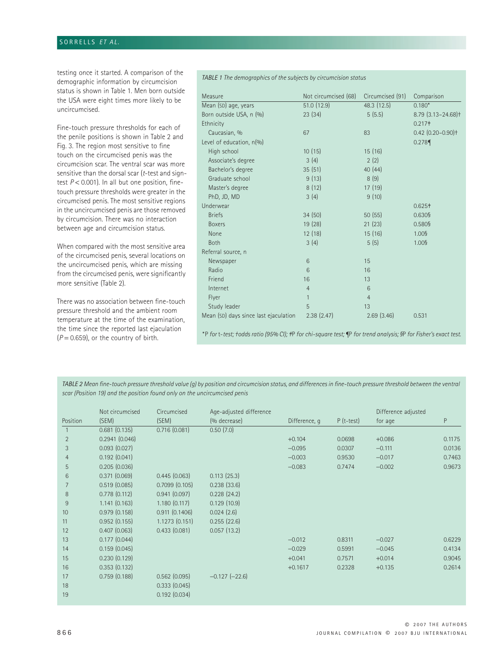testing once it started. A comparison of the demographic information by circumcision status is shown in Table 1. Men born outside the USA were eight times more likely to be uncircumcised.

Fine-touch pressure thresholds for each of the penile positions is shown in Table 2 and Fig. 3. The region most sensitive to fine touch on the circumcised penis was the circumcision scar. The ventral scar was more sensitive than the dorsal scar (*t*-test and signtest *P* < 0.001). In all but one position, finetouch pressure thresholds were greater in the circumcised penis. The most sensitive regions in the uncircumcised penis are those removed by circumcision. There was no interaction between age and circumcision status.

When compared with the most sensitive area of the circumcised penis, several locations on the uncircumcised penis, which are missing from the circumcised penis, were significantly more sensitive (Table 2).

There was no association between fine-touch pressure threshold and the ambient room temperature at the time of the examination, the time since the reported last ejaculation  $(P = 0.659)$ , or the country of birth.

*TABLE 1 The demographics of the subjects by circumcision status*

| Measure                               | Not circumcised (68) | Circumcised (91)                                                                                                                                                                                                                                                                                                                  | Comparison                           |
|---------------------------------------|----------------------|-----------------------------------------------------------------------------------------------------------------------------------------------------------------------------------------------------------------------------------------------------------------------------------------------------------------------------------|--------------------------------------|
| Mean (SD) age, years                  | 51.0 (12.9)          | 48.3 (12.5)                                                                                                                                                                                                                                                                                                                       | $0.180*$                             |
| Born outside USA, n (%)               | 23(34)               | 5(5.5)                                                                                                                                                                                                                                                                                                                            | $8.79$ $(3.13 - 24.68)$ <sup>+</sup> |
| Ethnicity                             |                      |                                                                                                                                                                                                                                                                                                                                   | 0.217 <sup>†</sup>                   |
| Caucasian, %                          | 67                   | 83                                                                                                                                                                                                                                                                                                                                | $0.42$ $(0.20 - 0.90)$ <sup>+</sup>  |
| Level of education, n(%)              |                      |                                                                                                                                                                                                                                                                                                                                   | 0.278                                |
| High school                           | 10(15)               | 15(16)                                                                                                                                                                                                                                                                                                                            |                                      |
| Associate's degree                    | 3(4)                 | 2(2)                                                                                                                                                                                                                                                                                                                              |                                      |
| Bachelor's degree                     | 35(51)               | 40(44)                                                                                                                                                                                                                                                                                                                            |                                      |
| Graduate school                       | 9(13)                | 8(9)                                                                                                                                                                                                                                                                                                                              |                                      |
| Master's degree                       | 8(12)                | 17(19)                                                                                                                                                                                                                                                                                                                            |                                      |
| PhD, JD, MD                           | 3(4)                 | 9(10)                                                                                                                                                                                                                                                                                                                             |                                      |
| Underwear                             |                      |                                                                                                                                                                                                                                                                                                                                   | 0.625 <sup>†</sup>                   |
| <b>Briefs</b>                         | 34(50)               | 50(55)                                                                                                                                                                                                                                                                                                                            | 0.630§                               |
| <b>Boxers</b>                         | 19(28)               | 21(23)                                                                                                                                                                                                                                                                                                                            | 0.580§                               |
| None                                  | 12(18)               | 15(16)                                                                                                                                                                                                                                                                                                                            | 1.00§                                |
| <b>Both</b>                           | 3(4)                 | 5(5)                                                                                                                                                                                                                                                                                                                              | 1.00§                                |
| Referral source, n                    |                      |                                                                                                                                                                                                                                                                                                                                   |                                      |
| Newspaper                             | 6                    | 15                                                                                                                                                                                                                                                                                                                                |                                      |
| Radio                                 | 6                    | 16                                                                                                                                                                                                                                                                                                                                |                                      |
| Friend                                | 16                   | 13                                                                                                                                                                                                                                                                                                                                |                                      |
| Internet                              | $\overline{4}$       | 6                                                                                                                                                                                                                                                                                                                                 |                                      |
| Flyer                                 | $\mathbf{1}$         | $\overline{4}$                                                                                                                                                                                                                                                                                                                    |                                      |
| Study leader                          | 5                    | 13                                                                                                                                                                                                                                                                                                                                |                                      |
| Mean (SD) days since last ejaculation | 2.38(2.47)           | 2.69(3.46)                                                                                                                                                                                                                                                                                                                        | 0.531                                |
|                                       |                      | $\mathcal{L}$ , and $\mathcal{L}$ , $\mathcal{L}$ , $\mathcal{L}$ , $\mathcal{L}$ , $\mathcal{L}$ , $\mathcal{L}$ , $\mathcal{L}$ , $\mathcal{L}$ , $\mathcal{L}$ , $\mathcal{L}$ , $\mathcal{L}$ , $\mathcal{L}$ , $\mathcal{L}$ , $\mathcal{L}$ , $\mathcal{L}$ , $\mathcal{L}$ , $\mathcal{L}$ , $\mathcal{L}$ , $\mathcal{L}$ |                                      |

*\** P *for* t-*test; †odds ratio (95% CI); ‡*P *for chi-square test; ¶*P *for trend analysis; §*P *for Fisher's exact test.*

*TABLE 2 Mean fine-touch pressure threshold value (g) by position and circumcision status, and differences in fine-touch pressure threshold between the ventral scar (Position 19) and the position found only on the uncircumcised penis*

|                  | Not circumcised | Circumcised   | Age-adjusted difference |               |              | Difference adjusted |        |
|------------------|-----------------|---------------|-------------------------|---------------|--------------|---------------------|--------|
| Position         | (SEM)           | (SEM)         | (% decrease)            | Difference, q | $P$ (t-test) | for age             | P      |
|                  | 0.681(0.135)    | 0.716(0.081)  | 0.50(7.0)               |               |              |                     |        |
| $\overline{2}$   | 0.2941(0.046)   |               |                         | $+0.104$      | 0.0698       | $+0.086$            | 0.1175 |
| 3                | 0.093(0.027)    |               |                         | $-0.095$      | 0.0307       | $-0.111$            | 0.0136 |
| 4                | 0.192(0.041)    |               |                         | $-0.003$      | 0.9530       | $-0.017$            | 0.7463 |
| 5                | 0.205(0.036)    |               |                         | $-0.083$      | 0.7474       | $-0.002$            | 0.9673 |
| 6                | 0.371(0.069)    | 0.445(0.063)  | 0.113(25.3)             |               |              |                     |        |
|                  | 0.519(0.085)    | 0.7099(0.105) | 0.238(33.6)             |               |              |                     |        |
| 8                | 0.778(0.112)    | 0.941(0.097)  | 0.228(24.2)             |               |              |                     |        |
| 9                | 1.141(0.163)    | 1.180(0.117)  | 0.129(10.9)             |               |              |                     |        |
| 10 <sup>10</sup> | 0.979(0.158)    | 0.911(0.1406) | 0.024(2.6)              |               |              |                     |        |
| 11               | 0.952(0.155)    | 1.1273(0.151) | 0.255(22.6)             |               |              |                     |        |
| 12               | 0.407(0.063)    | 0.433(0.081)  | 0.057(13.2)             |               |              |                     |        |
| 13               | 0.177(0.044)    |               |                         | $-0.012$      | 0.8311       | $-0.027$            | 0.6229 |
| 14               | 0.159(0.045)    |               |                         | $-0.029$      | 0.5991       | $-0.045$            | 0.4134 |
| 15               | 0.230(0.129)    |               |                         | $+0.041$      | 0.7571       | $+0.014$            | 0.9045 |
| 16               | 0.353(0.132)    |               |                         | $+0.1617$     | 0.2328       | $+0.135$            | 0.2614 |
| 17               | 0.759(0.188)    | 0.562(0.095)  | $-0.127$ $(-22.6)$      |               |              |                     |        |
| 18               |                 | 0.333(0.045)  |                         |               |              |                     |        |
| 19               |                 | 0.192(0.034)  |                         |               |              |                     |        |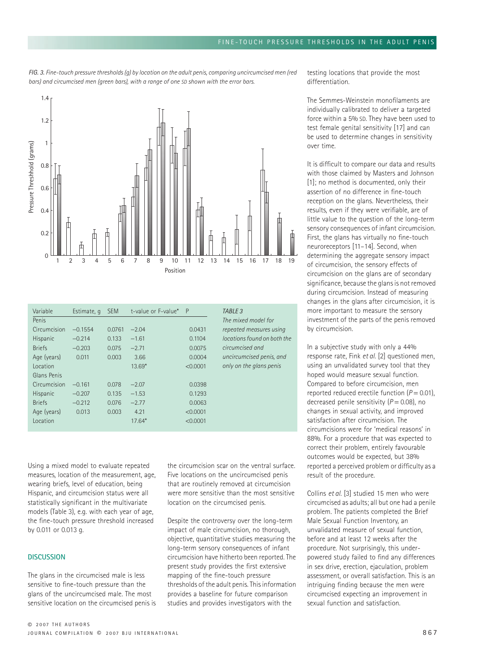

| Variable      | Estimate, q | <b>SEM</b> | t-value or F-value* | P        | TABLE 3   |
|---------------|-------------|------------|---------------------|----------|-----------|
| Penis         |             |            |                     |          | The mixe  |
| Circumcision  | $-0.1554$   | 0.0761     | $-2.04$             | 0.0431   | repeated  |
| Hispanic      | $-0.214$    | 0.133      | $-1.61$             | 0.1104   | locations |
| <b>Briefs</b> | $-0.203$    | 0.075      | $-2.71$             | 0.0075   | circumcis |
| Age (years)   | 0.011       | 0.003      | 3.66                | 0.0004   | uncircum  |
| Location      |             |            | $13.69*$            | < 0.0001 | only on t |
| Glans Penis   |             |            |                     |          |           |
| Circumcision  | $-0.161$    | 0.078      | $-2.07$             | 0.0398   |           |
| Hispanic      | $-0.207$    | 0.135      | $-1.53$             | 0.1293   |           |
| <b>Briefs</b> | $-0.212$    | 0.076      | $-2.77$             | 0.0063   |           |
| Age (years)   | 0.013       | 0.003      | 4.21                | < 0.0001 |           |
| Location      |             |            | $17.64*$            | < 0.0001 |           |
|               |             |            |                     |          |           |

Using a mixed model to evaluate repeated measures, location of the measurement, age, wearing briefs, level of education, being Hispanic, and circumcision status were all statistically significant in the multivariate models (Table 3), e.g. with each year of age, the fine-touch pressure threshold increased by 0.011 or 0.013 g.

#### **DISCUSSION**

The glans in the circumcised male is less sensitive to fine-touch pressure than the glans of the uncircumcised male. The most sensitive location on the circumcised penis is the circumcision scar on the ventral surface. Five locations on the uncircumcised penis that are routinely removed at circumcision were more sensitive than the most sensitive location on the circumcised penis.

*I* model for *repeated measures using locations found on both the circumcised and uncircumcised penis, and only on the glans penis*

Despite the controversy over the long-term impact of male circumcision, no thorough, objective, quantitative studies measuring the long-term sensory consequences of infant circumcision have hitherto been reported. The present study provides the first extensive mapping of the fine-touch pressure thresholds of the adult penis. This information provides a baseline for future comparison studies and provides investigators with the

testing locations that provide the most differentiation.

The Semmes-Weinstein monofilaments are individually calibrated to deliver a targeted force within a 5% SD. They have been used to test female genital sensitivity [17] and can be used to determine changes in sensitivity over time.

It is difficult to compare our data and results with those claimed by Masters and Johnson [1]; no method is documented, only their assertion of no difference in fine-touch reception on the glans. Nevertheless, their results, even if they were verifiable, are of little value to the question of the long-term sensory consequences of infant circumcision. First, the glans has virtually no fine-touch neuroreceptors [11–14]. Second, when determining the aggregate sensory impact of circumcision, the sensory effects of circumcision on the glans are of secondary significance, because the glans is not removed during circumcision. Instead of measuring changes in the glans after circumcision, it is more important to measure the sensory investment of the parts of the penis removed by circumcision.

In a subjective study with only a 44% response rate, Fink *et al.* [2] questioned men, using an unvalidated survey tool that they hoped would measure sexual function. Compared to before circumcision, men reported reduced erectile function  $(P = 0.01)$ . decreased penile sensitivity ( $P = 0.08$ ), no changes in sexual activity, and improved satisfaction after circumcision. The circumcisions were for 'medical reasons' in 88%. For a procedure that was expected to correct their problem, entirely favourable outcomes would be expected, but 38% reported a perceived problem or difficulty as a result of the procedure.

Collins *et al.* [3] studied 15 men who were circumcised as adults; all but one had a penile problem. The patients completed the Brief Male Sexual Function Inventory, an unvalidated measure of sexual function, before and at least 12 weeks after the procedure. Not surprisingly, this underpowered study failed to find any differences in sex drive, erection, ejaculation, problem assessment, or overall satisfaction. This is an intriguing finding because the men were circumcised expecting an improvement in sexual function and satisfaction.

*FIG. 3. Fine-touch pressure thresholds (g) by location on the adult penis, comparing uncircumcised men (red bars) and circumcised men (green bars), with a range of one SD shown with the error bars.*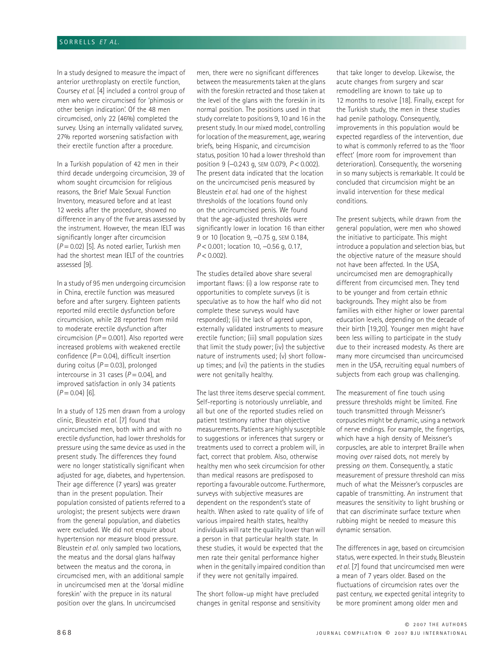In a study designed to measure the impact of anterior urethroplasty on erectile function, Coursey *et al.* [4] included a control group of men who were circumcised for 'phimosis or other benign indication'. Of the 48 men circumcised, only 22 (46%) completed the survey. Using an internally validated survey, 27% reported worsening satisfaction with their erectile function after a procedure.

In a Turkish population of 42 men in their third decade undergoing circumcision, 39 of whom sought circumcision for religious reasons, the Brief Male Sexual Function Inventory, measured before and at least 12 weeks after the procedure, showed no difference in any of the five areas assessed by the instrument. However, the mean IELT was significantly longer after circumcision (*P* = 0.02) [5]. As noted earlier, Turkish men had the shortest mean IELT of the countries assessed [9].

In a study of 95 men undergoing circumcision in China, erectile function was measured before and after surgery. Eighteen patients reported mild erectile dysfunction before circumcision, while 28 reported from mild to moderate erectile dysfunction after circumcision  $(P = 0.001)$ . Also reported were increased problems with weakened erectile confidence (*P* = 0.04), difficult insertion during coitus  $(P = 0.03)$ , prolonged intercourse in 31 cases  $(P = 0.04)$ , and improved satisfaction in only 34 patients  $(P = 0.04)$  [6].

In a study of 125 men drawn from a urology clinic, Bleustein *et al.* [7] found that uncircumcised men, both with and with no erectile dysfunction, had lower thresholds for pressure using the same device as used in the present study. The differences they found were no longer statistically significant when adjusted for age, diabetes, and hypertension. Their age difference (7 years) was greater than in the present population. Their population consisted of patients referred to a urologist; the present subjects were drawn from the general population, and diabetics were excluded. We did not enquire about hypertension nor measure blood pressure. Bleustein *et al.* only sampled two locations, the meatus and the dorsal glans halfway between the meatus and the corona, in circumcised men, with an additional sample in uncircumcised men at the 'dorsal midline foreskin' with the prepuce in its natural position over the glans. In uncircumcised

men, there were no significant differences between the measurements taken at the glans with the foreskin retracted and those taken at the level of the glans with the foreskin in its normal position. The positions used in that study correlate to positions 9, 10 and 16 in the present study. In our mixed model, controlling for location of the measurement, age, wearing briefs, being Hispanic, and circumcision status, position 10 had a lower threshold than position 9 (−0.243 g, SEM 0.079, *P* < 0.002). The present data indicated that the location on the uncircumcised penis measured by Bleustein *et al.* had one of the highest thresholds of the locations found only on the uncircumcised penis. We found that the age-adjusted thresholds were significantly lower in location 16 than either 9 or 10 (location 9, -0.75 g, SEM 0.184, *P* < 0.001; location 10, −0.56 g, 0.17,  $P < 0.002$ ).

The studies detailed above share several important flaws: (i) a low response rate to opportunities to complete surveys (it is speculative as to how the half who did not complete these surveys would have responded); (ii) the lack of agreed upon, externally validated instruments to measure erectile function; (iii) small population sizes that limit the study power; (iv) the subjective nature of instruments used; (v) short followup times; and (vi) the patients in the studies were not genitally healthy.

The last three items deserve special comment. Self-reporting is notoriously unreliable, and all but one of the reported studies relied on patient testimony rather than objective measurements. Patients are highly susceptible to suggestions or inferences that surgery or treatments used to correct a problem will, in fact, correct that problem. Also, otherwise healthy men who seek circumcision for other than medical reasons are predisposed to reporting a favourable outcome. Furthermore, surveys with subjective measures are dependent on the respondent's state of health. When asked to rate quality of life of various impaired health states, healthy individuals will rate the quality lower than will a person in that particular health state. In these studies, it would be expected that the men rate their genital performance higher when in the genitally impaired condition than if they were not genitally impaired.

The short follow-up might have precluded changes in genital response and sensitivity that take longer to develop. Likewise, the acute changes from surgery and scar remodelling are known to take up to 12 months to resolve [18]. Finally, except for the Turkish study, the men in these studies had penile pathology. Consequently, improvements in this population would be expected regardless of the intervention, due to what is commonly referred to as the 'floor effect' (more room for improvement than deterioration). Consequently, the worsening in so many subjects is remarkable. It could be concluded that circumcision might be an invalid intervention for these medical conditions.

The present subjects, while drawn from the general population, were men who showed the initiative to participate. This might introduce a population and selection bias, but the objective nature of the measure should not have been affected. In the USA, uncircumcised men are demographically different from circumcised men. They tend to be younger and from certain ethnic backgrounds. They might also be from families with either higher or lower parental education levels, depending on the decade of their birth [19,20]. Younger men might have been less willing to participate in the study due to their increased modesty. As there are many more circumcised than uncircumcised men in the USA, recruiting equal numbers of subjects from each group was challenging.

The measurement of fine touch using pressure thresholds might be limited. Fine touch transmitted through Meissner's corpuscles might be dynamic, using a network of nerve endings. For example, the fingertips, which have a high density of Meissner's corpuscles, are able to interpret Braille when moving *over* raised dots, not merely by pressing *on* them. Consequently, a static measurement of pressure threshold can miss much of what the Meissner's corpuscles are capable of transmitting. An instrument that measures the sensitivity to light brushing or that can discriminate surface texture when rubbing might be needed to measure this dynamic sensation.

The differences in age, based on circumcision status, were expected. In their study, Bleustein *et al.* [7] found that uncircumcised men were a mean of 7 years older. Based on the fluctuations of circumcision rates over the past century, we expected genital integrity to be more prominent among older men and